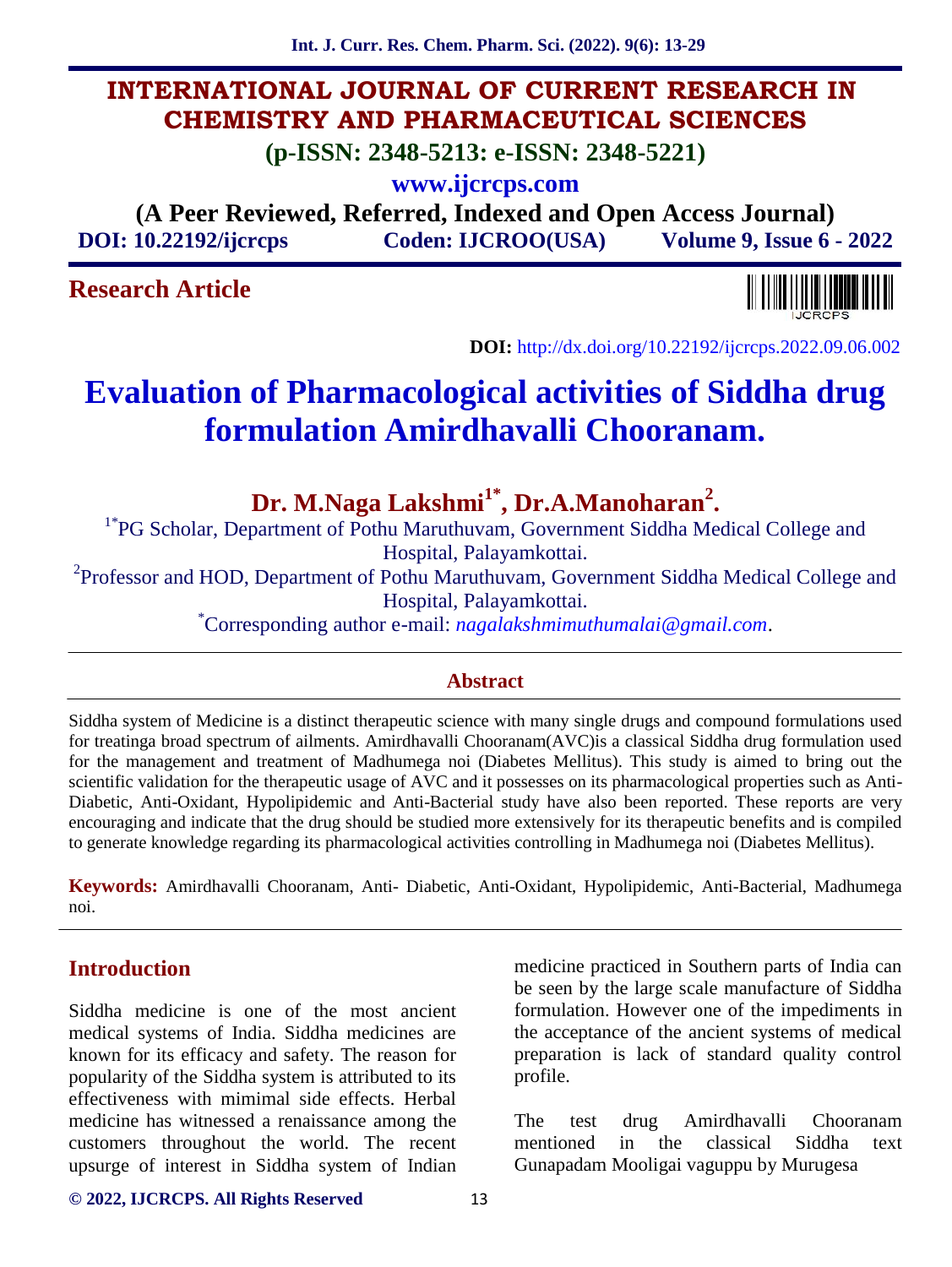# **INTERNATIONAL JOURNAL OF CURRENT RESEARCH IN CHEMISTRY AND PHARMACEUTICAL SCIENCES**

**(p-ISSN: 2348-5213: e-ISSN: 2348-5221)**

**www.ijcrcps.com**

**(A Peer Reviewed, Referred, Indexed and Open Access Journal) DOI: 10.22192/ijcrcps Coden: IJCROO(USA) Volume 9, Issue 6 - 2022**

# **Research Article**



**DOI:** http://dx.doi.org/10.22192/ijcrcps.2022.09.06.002

# **Evaluation of Pharmacological activities of Siddha drug formulation Amirdhavalli Chooranam.**

**Dr. M.Naga Lakshmi1\*, Dr.A.Manoharan<sup>2</sup>**

<sup>1\*</sup>PG Scholar, Department of Pothu Maruthuvam, Government Siddha Medical College and Hospital, Palayamkottai.

<sup>2</sup>Professor and HOD, Department of Pothu Maruthuvam, Government Siddha Medical College and

Hospital, Palayamkottai. \*Corresponding author e-mail: *nagalakshmimuthumalai@gmail.com*.

## **Abstract**

Siddha system of Medicine is a distinct therapeutic science with many single drugs and compound formulations used for treatinga broad spectrum of ailments. Amirdhavalli Chooranam(AVC)is a classical Siddha drug formulation used for the management and treatment of Madhumega noi (Diabetes Mellitus). This study is aimed to bring out the scientific validation for the therapeutic usage of AVC and it possesses on its pharmacological properties such as Anti- Diabetic, Anti-Oxidant, Hypolipidemic and Anti-Bacterial study have also been reported. These reports are very encouraging and indicate that the drug should be studied more extensively for its therapeutic benefits and is compiled to generate knowledge regarding its pharmacological activities controlling in Madhumega noi (Diabetes Mellitus).

**Keywords:** Amirdhavalli Chooranam, Anti- Diabetic, Anti-Oxidant, Hypolipidemic, Anti-Bacterial, Madhumega noi.

## **Introduction**

Siddha medicine is one of the most ancient medical systems of India. Siddha medicines are known for its efficacy and safety. The reason for popularity of the Siddha system is attributed to its effectiveness with mimimal side effects. Herbal medicine has witnessed a renaissance among the customers throughout the world. The recent upsurge of interest in Siddha system of Indian

medicine practiced in Southern parts of India can be seen by the large scale manufacture of Siddha formulation. However one of the impediments in the acceptance of the ancient systems of medical preparation is lack of standard quality control profile.

test drug Amirdhavalli Chooranam mentioned in the classical Siddha text Gunapadam Mooligai vaguppu by Murugesa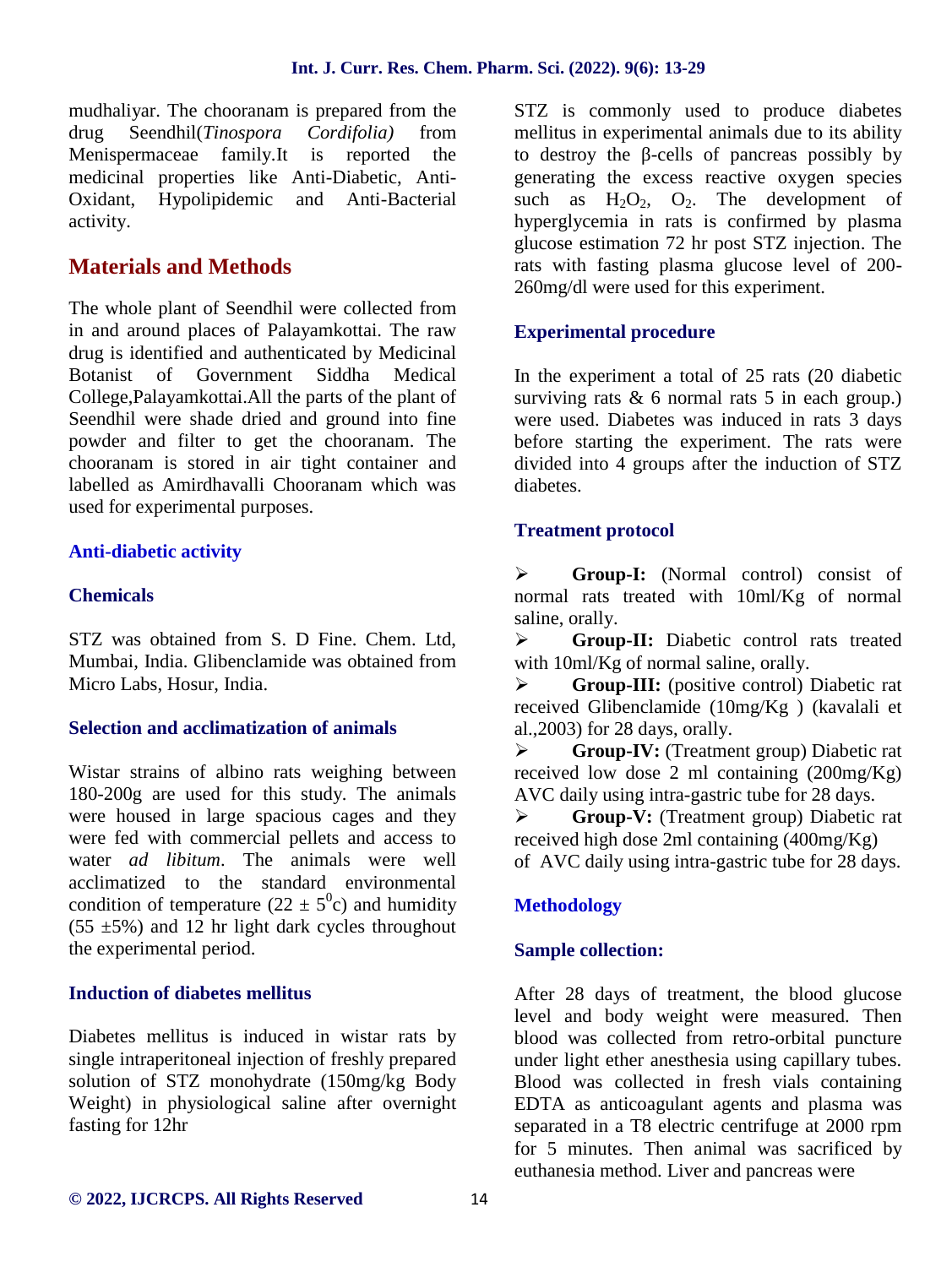mudhaliyar. The chooranam is prepared from the drug Seendhil(*Tinospora Cordifolia)* from Menispermaceae family.It is reported the medicinal properties like Anti-Diabetic, Anti- Oxidant, Hypolipidemic and Anti-Bacterial activity.

# **Materials and Methods**

The whole plant of Seendhil were collected from in and around places of Palayamkottai. The raw drug is identified and authenticated by Medicinal Botanist of Government Siddha Medical College,Palayamkottai.All the parts of the plant of Seendhil were shade dried and ground into fine powder and filter to get the chooranam. The chooranam is stored in air tight container and labelled as Amirdhavalli Chooranam which was used for experimental purposes.

## **Anti-diabetic activity**

## **Chemicals**

STZ was obtained from S. D Fine. Chem. Ltd, Mumbai, India. Glibenclamide was obtained from Micro Labs, Hosur, India.

## **Selection and acclimatization of animals**

Wistar strains of albino rats weighing between 180-200g are used for this study. The animals were housed in large spacious cages and they  $\triangleright$ were fed with commercial pellets and access to water *ad libitum*. The animals were well acclimatized to the standard environmental condition of temperature ( $22 \pm 5^0$ c) and humidity  $(55 \pm 5\%)$  and 12 hr light dark cycles throughout the experimental period.

## **Induction of diabetes mellitus**

Diabetes mellitus is induced in wistar rats by single intraperitoneal injection of freshly prepared solution of STZ monohydrate (150mg/kg Body Weight) in physiological saline after overnight fasting for 12hr

STZ is commonly used to produce diabetes mellitus in experimental animals due to its ability to destroy the -cells of pancreas possibly by generating the excess reactive oxygen species such as  $H_2O_2$ ,  $O_2$ . The development of hyperglycemia in rats is confirmed by plasma glucose estimation 72 hr post STZ injection. The rats with fasting plasma glucose level of 200- 260mg/dl were used for this experiment.

#### **Experimental procedure**

In the experiment a total of 25 rats (20 diabetic surviving rats  $\&$  6 normal rats 5 in each group.) were used. Diabetes was induced in rats 3 days before starting the experiment. The rats were divided into 4 groups after the induction of STZ diabetes.

#### **Treatment protocol**

 **Group-I:** (Normal control) consist of normal rats treated with 10ml/Kg of normal saline, orally.

 **Group-II:** Diabetic control rats treated with 10ml/Kg of normal saline, orally.

 **Group-III:** (positive control) Diabetic rat received Glibenclamide (10mg/Kg ) (kavalali et al.,2003) for 28 days, orally.

 **Group-IV:** (Treatment group) Diabetic rat received low dose 2 ml containing (200mg/Kg) AVC daily using intra-gastric tube for 28 days.

 **Group-V:** (Treatment group) Diabetic rat received high dose 2ml containing (400mg/Kg) of AVC daily using intra-gastric tube for 28 days.

## **Methodology**

## **Sample collection:**

After 28 days of treatment, the blood glucose level and body weight were measured. Then blood was collected from retro-orbital puncture under light ether anesthesia using capillary tubes. Blood was collected in fresh vials containing EDTA as anticoagulant agents and plasma was separated in a T8 electric centrifuge at 2000 rpm for 5 minutes. Then animal was sacrificed by euthanesia method. Liver and pancreas were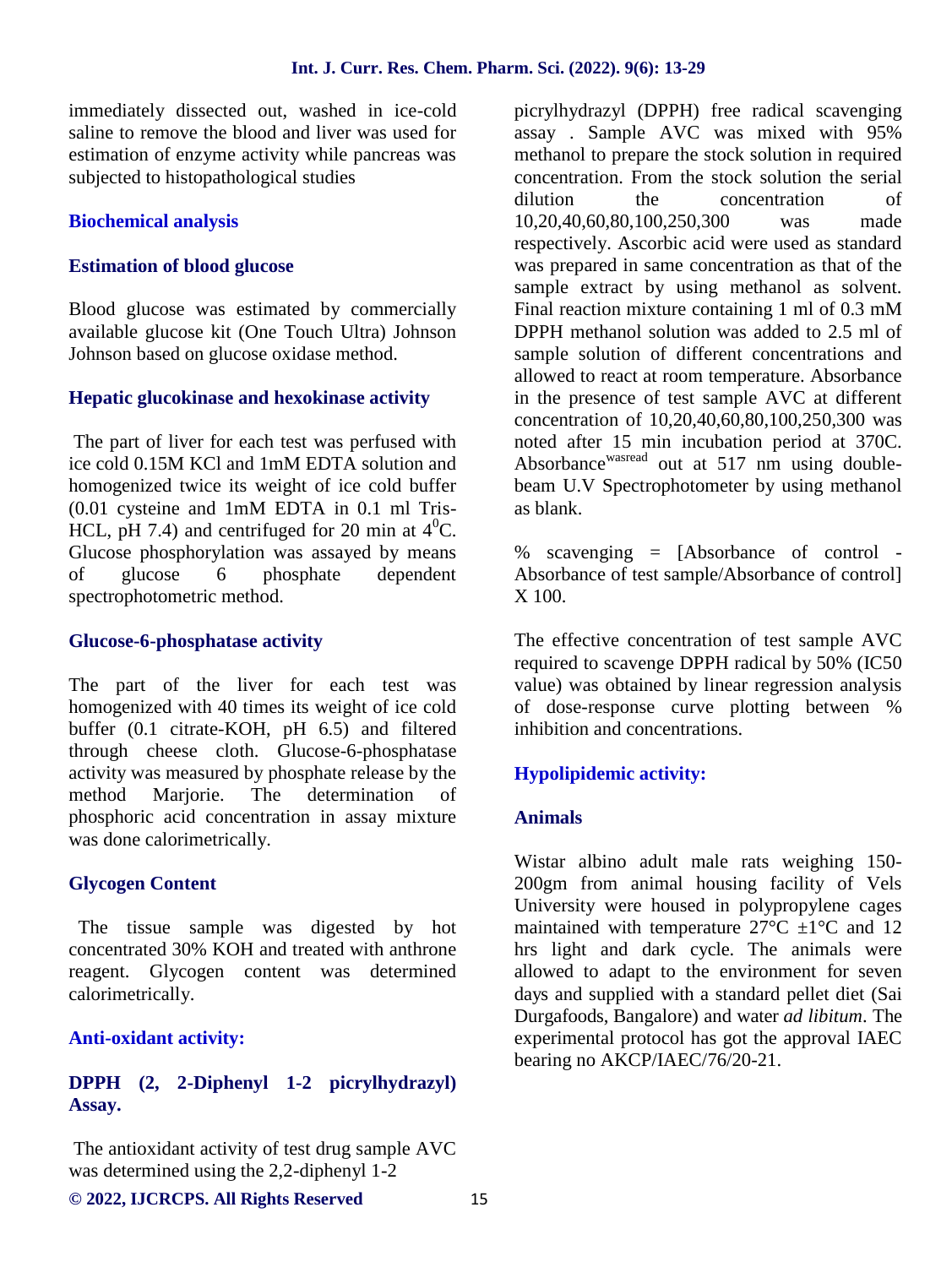immediately dissected out, washed in ice-cold saline to remove the blood and liver was used for estimation of enzyme activity while pancreas was subjected to histopathological studies

#### **Biochemical analysis**

#### **Estimation of blood glucose**

Blood glucose was estimated by commercially available glucose kit (One Touch Ultra) Johnson Johnson based on glucose oxidase method.

#### **Hepatic glucokinase and hexokinase activity**

The part of liver for each test was perfused with ice cold 0.15M KCl and 1mM EDTA solution and homogenized twice its weight of ice cold buffer (0.01 cysteine and 1mM EDTA in 0.1 ml Tris- HCL, pH 7.4) and centrifuged for 20 min at  $4^0C$ . Glucose phosphorylation was assayed by means<br>of glucose 6 phosphate dependent of glucose 6 phosphate dependent spectrophotometric method.

#### **Glucose-6-phosphatase activity**

The part of the liver for each test was homogenized with 40 times its weight of ice cold buffer (0.1 citrate-KOH, pH 6.5) and filtered through cheese cloth. Glucose-6-phosphatase activity was measured by phosphate release by the<br>method Mariorie. The determination of method Marjorie. The determination of phosphoric acid concentration in assay mixture was done calorimetrically.

#### **Glycogen Content**

The tissue sample was digested by hot concentrated 30% KOH and treated with anthrone reagent. Glycogen content was determined calorimetrically.

#### **Anti-oxidant activity:**

## **DPPH (2, 2-Diphenyl 1-2 picrylhydrazyl) Assay.**

The antioxidant activity of test drug sample AVC was determined using the 2,2-diphenyl 1-2

picrylhydrazyl (DPPH) free radical scavenging assay . Sample AVC was mixed with 95% methanol to prepare the stock solution in required concentration. From the stock solution the serial dilution the concentration of 10,20,40,60,80,100,250,300 was made respectively. Ascorbic acid were used as standard was prepared in same concentration as that of the sample extract by using methanol as solvent. Final reaction mixture containing 1 ml of 0.3 mM DPPH methanol solution was added to 2.5 ml of sample solution of different concentrations and allowed to react at room temperature. Absorbance in the presence of test sample AVC at different concentration of 10,20,40,60,80,100,250,300 was noted after 15 min incubation period at 370C. Absorbance<sup>wasread</sup> out at 517 nm using doublebeam U.V Spectrophotometer by using methanol as blank.

% scavenging = [Absorbance of control - Absorbance of test sample/Absorbance of control] X 100.

The effective concentration of test sample AVC required to scavenge DPPH radical by 50% (IC50 value) was obtained by linear regression analysis of dose-response curve plotting between % inhibition and concentrations.

## **Hypolipidemic activity:**

#### **Animals**

Wistar albino adult male rats weighing 150- 200gm from animal housing facility of Vels University were housed in polypropylene cages maintained with temperature  $27^{\circ}$ C  $\pm 1^{\circ}$ C and 12 hrs light and dark cycle. The animals were allowed to adapt to the environment for seven days and supplied with a standard pellet diet (Sai Durgafoods, Bangalore) and water *ad libitum*. The experimental protocol has got the approval IAEC bearing no AKCP/IAEC/76/20-21.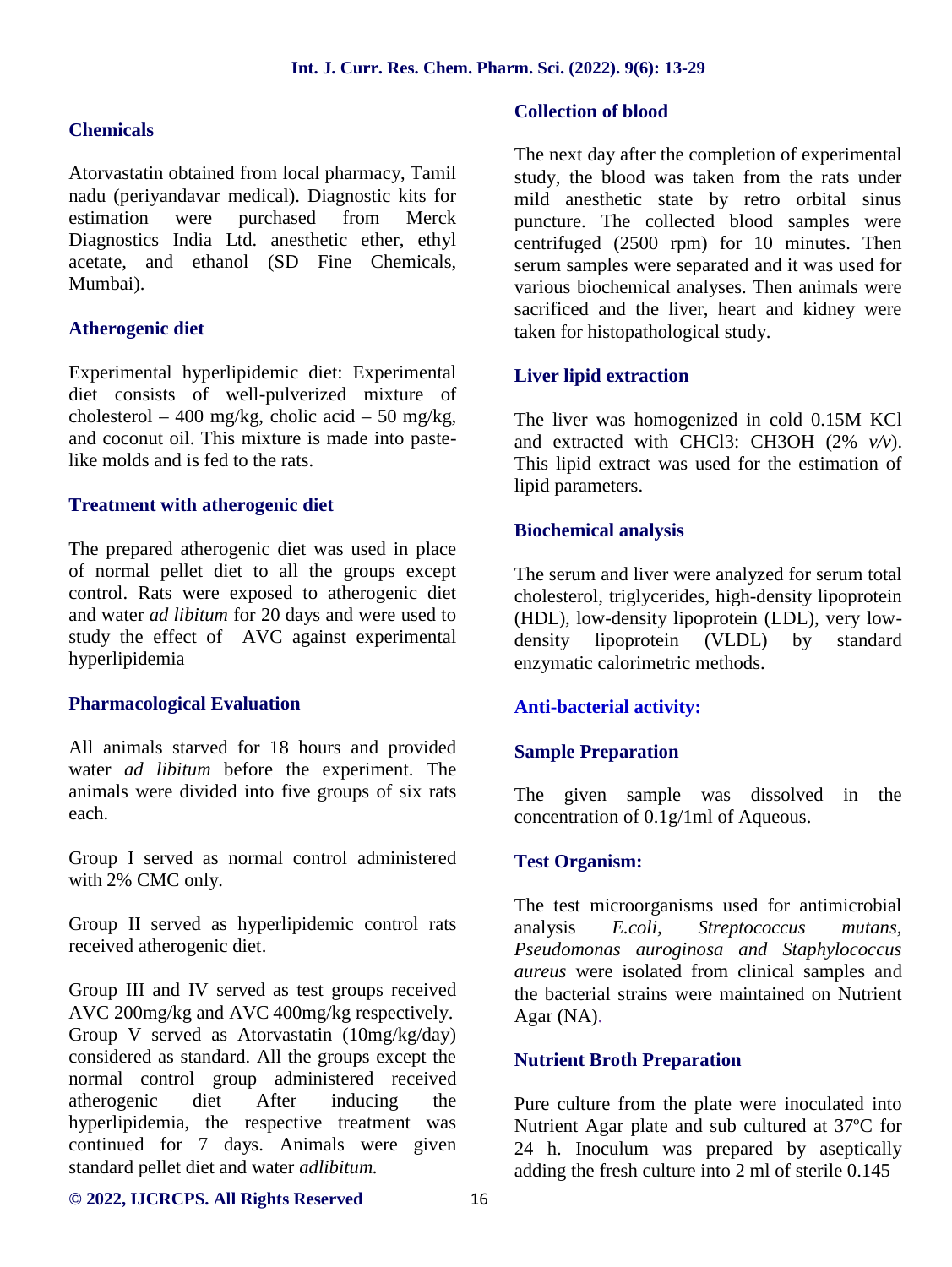#### **Chemicals**

Atorvastatin obtained from local pharmacy, Tamil nadu (periyandavar medical). Diagnostic kits for estimation were purchased from Merck Diagnostics India Ltd. anesthetic ether, ethyl acetate, and ethanol (SD Fine Chemicals, Mumbai).

#### **Atherogenic diet**

Experimental hyperlipidemic diet: Experimental diet consists of well-pulverized mixture of cholesterol – 400 mg/kg, cholic acid – 50 mg/kg, and coconut oil. This mixture is made into pastelike molds and is fed to the rats.

#### **Treatment with atherogenic diet**

The prepared atherogenic diet was used in place of normal pellet diet to all the groups except control. Rats were exposed to atherogenic diet and water *ad libitum* for 20 days and were used to study the effect of AVC against experimental hyperlipidemia

#### **Pharmacological Evaluation**

All animals starved for 18 hours and provided water *ad libitum* before the experiment. The animals were divided into five groups of six rats each.

Group I served as normal control administered with 2% CMC only.

Group II served as hyperlipidemic control rats received atherogenic diet.

Group III and IV served as test groups received AVC 200mg/kg and AVC 400mg/kg respectively. Group V served as Atorvastatin (10mg/kg/day) considered as standard. All the groups except the normal control group administered received atherogenic diet After inducing the hyperlipidemia, the respective treatment was continued for 7 days. Animals were given standard pellet diet and water *adlibitum.*

#### **Collection of blood**

The next day after the completion of experimental study, the blood was taken from the rats under mild anesthetic state by retro orbital sinus puncture. The collected blood samples were centrifuged (2500 rpm) for 10 minutes. Then serum samples were separated and it was used for various biochemical analyses. Then animals were sacrificed and the liver, heart and kidney were taken for histopathological study.

#### **Liver lipid extraction**

The liver was homogenized in cold 0.15M KCl and extracted with CHCl3: CH3OH (2% *v/v*). This lipid extract was used for the estimation of lipid parameters.

#### **Biochemical analysis**

The serum and liver were analyzed for serum total cholesterol, triglycerides, high-density lipoprotein (HDL), low-density lipoprotein (LDL), very low density lipoprotein (VLDL) by standard enzymatic calorimetric methods.

## **Anti-bacterial activity:**

## **Sample Preparation**

The given sample was dissolved in the concentration of 0.1g/1ml of Aqueous.

## **Test Organism:**

The test microorganisms used for antimicrobial analysis *E.coli, Streptococcus mutans, Pseudomonas auroginosa and Staphylococcus aureus* were isolated from clinical samples and the bacterial strains were maintained on Nutrient Agar (NA).

#### **Nutrient Broth Preparation**

Pure culture from the plate were inoculated into Nutrient Agar plate and sub cultured at 37ºC for 24 h. Inoculum was prepared by aseptically adding the fresh culture into 2 ml of sterile 0.145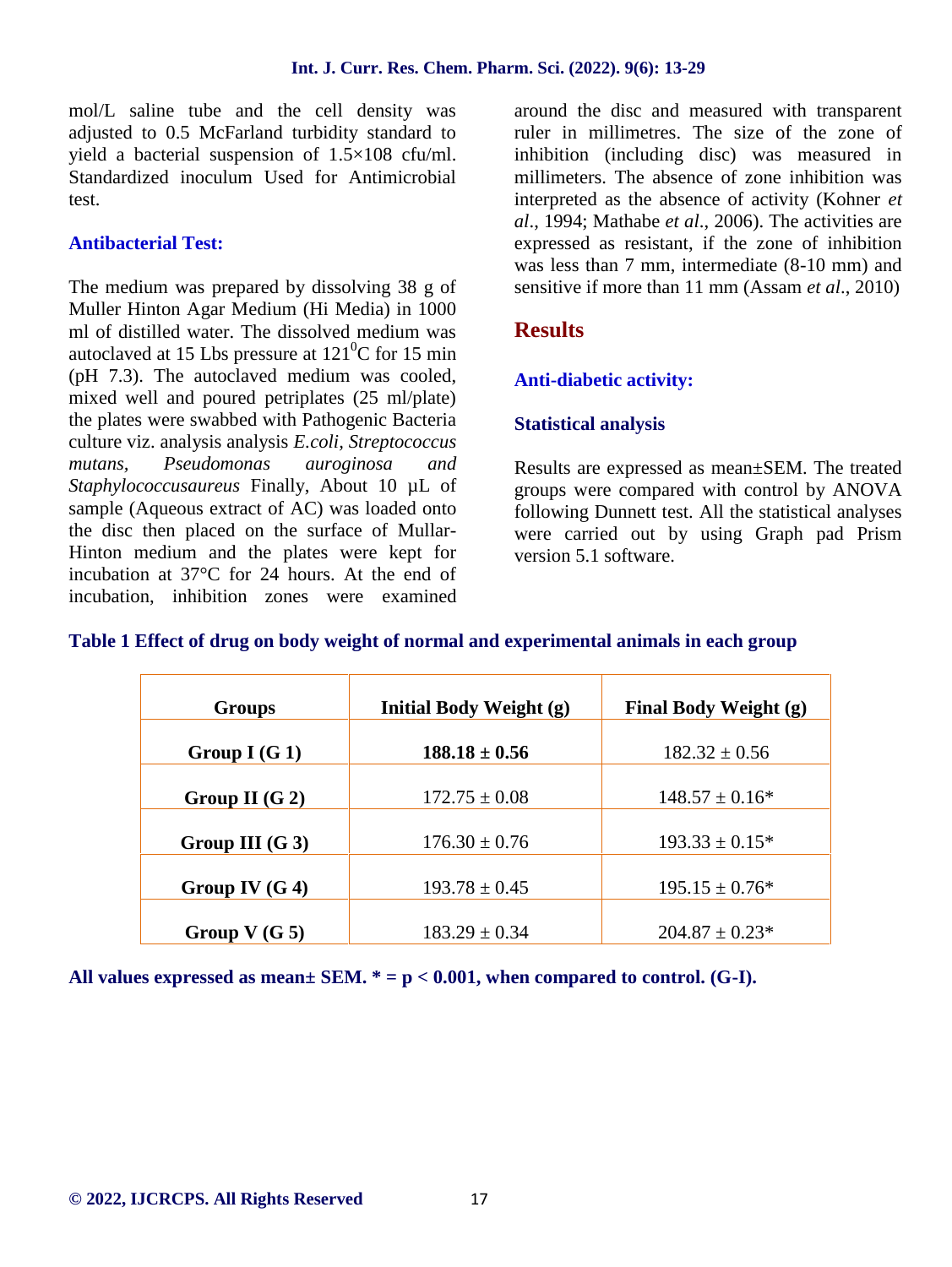mol/L saline tube and the cell density was adjusted to 0.5 McFarland turbidity standard to yield a bacterial suspension of 1.5×108 cfu/ml. Standardized inoculum Used for Antimicrobial test.

## **Antibacterial Test:**

The medium was prepared by dissolving 38 g of Muller Hinton Agar Medium (Hi Media) in 1000 ml of distilled water. The dissolved medium was autoclaved at 15 Lbs pressure at  $121^0C$  for 15 min (pH 7.3). The autoclaved medium was cooled, mixed well and poured petriplates (25 ml/plate) the plates were swabbed with Pathogenic Bacteria culture viz. analysis analysis *E.coli, Streptococcus mutans, Pseudomonas auroginosa and Staphylococcusaureus* Finally, About 10 µL of sample (Aqueous extract of AC) was loaded onto the disc then placed on the surface of Mullar- Hinton medium and the plates were kept for incubation at 37°C for 24 hours. At the end of incubation, inhibition zones were examined

around the disc and measured with transparent ruler in millimetres. The size of the zone of inhibition (including disc) was measured in millimeters. The absence of zone inhibition was interpreted as the absence of activity (Kohner *et al*., 1994; Mathabe *et al*., 2006). The activities are expressed as resistant, if the zone of inhibition was less than 7 mm, intermediate (8-10 mm) and sensitive if more than 11 mm (Assam *et al*., 2010)

## **Results**

## **Anti-diabetic activity:**

## **Statistical analysis**

Results are expressed as mean±SEM. The treated groups were compared with control by ANOVA following Dunnett test. All the statistical analyses were carried out by using Graph pad Prism version 5.1 software.

## **Table 1 Effect of drug on body weight of normal and experimental animals in each group**

| Groups            | <b>Initial Body Weight (g)</b> | Final Body Weight (g) |
|-------------------|--------------------------------|-----------------------|
| Group I $(G 1)$   | $188.18 \pm 0.56$              | $182.32 \pm 0.56$     |
| Group II $(G 2)$  | $172.75 \pm 0.08$              | $148.57 \pm 0.16^*$   |
| Group III $(G_3)$ | $176.30 \pm 0.76$              | $193.33 \pm 0.15^*$   |
| Group IV $(G 4)$  | $193.78 \pm 0.45$              | $195.15 \pm 0.76^*$   |
| Group $V(G_5)$    | $183.29 \pm 0.34$              | $204.87 \pm 0.23*$    |

**All values expressed as mean± SEM. \* = p < 0.001, when compared to control. (G-I).**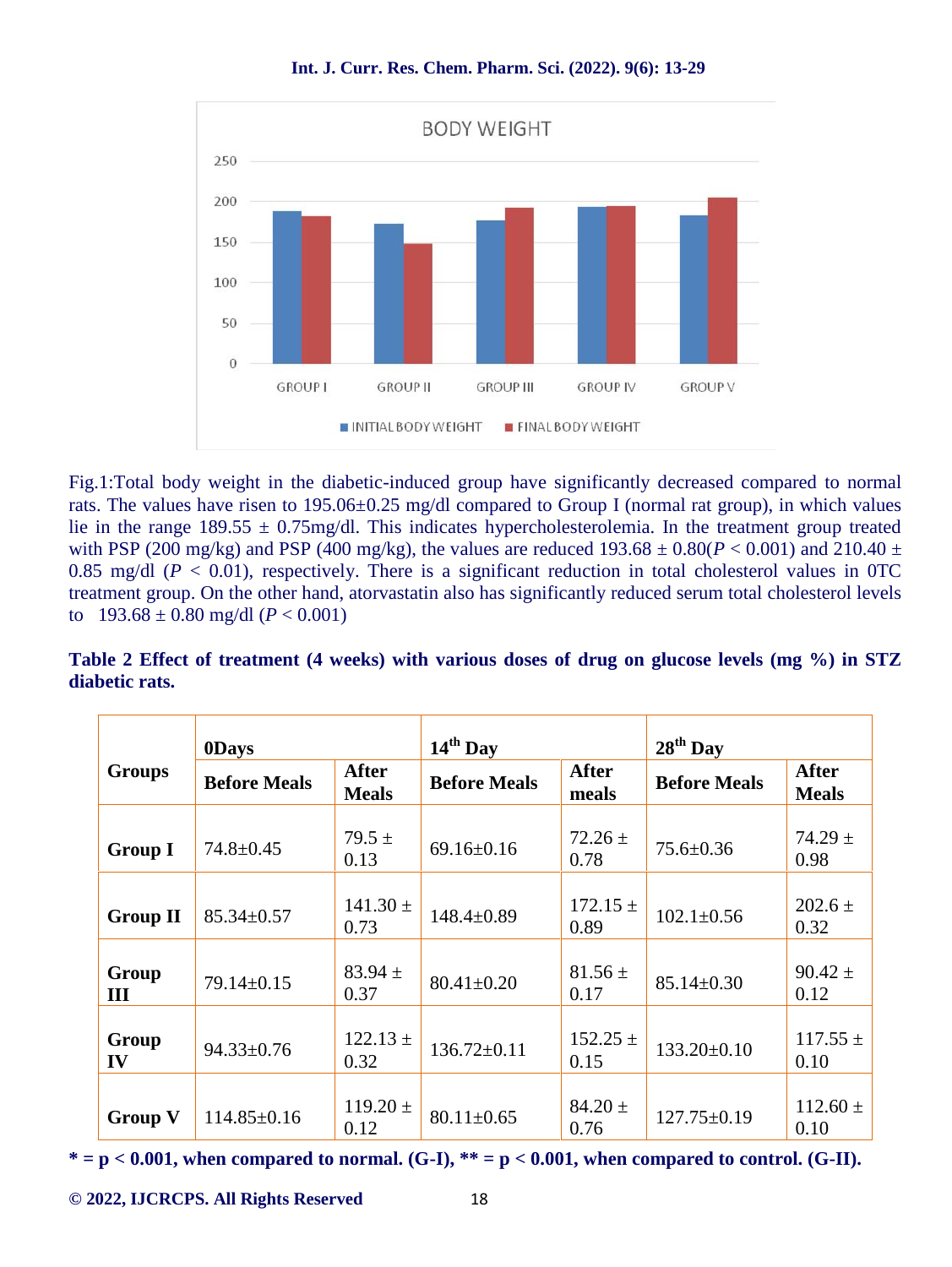

Fig.1:Total body weight in the diabetic-induced group have significantly decreased compared to normal rats. The values have risen to 195.06±0.25 mg/dl compared to Group I (normal rat group), in which values lie in the range  $189.55 \pm 0.75$  mg/dl. This indicates hypercholesterolemia. In the treatment group treated with PSP (200 mg/kg) and PSP (400 mg/kg), the values are reduced  $193.68 \pm 0.80(P < 0.001)$  and  $210.40 \pm 0.001$ 0.85 mg/dl ( $P < 0.01$ ), respectively. There is a significant reduction in total cholesterol values in OTC treatment group. On the other hand, atorvastatin also has significantly reduced serum total cholesterol levels to  $193.68 \pm 0.80$  mg/dl ( $P < 0.001$ )

**Table 2 Effect of treatment (4 weeks) with various doses of drug on glucose levels (mg %) in STZ diabetic rats.**

|                 | <b>ODays</b>        |                              | $14th$ Day          |                       | $28th$ Day          |                              |
|-----------------|---------------------|------------------------------|---------------------|-----------------------|---------------------|------------------------------|
| <b>Groups</b>   | <b>Before Meals</b> | <b>After</b><br><b>Meals</b> | <b>Before Meals</b> | <b>After</b><br>meals | <b>Before Meals</b> | <b>After</b><br><b>Meals</b> |
| <b>Group I</b>  | $74.8 \pm 0.45$     | $79.5 \pm$<br>0.13           | $69.16 \pm 0.16$    | $72.26 \pm$<br>0.78   | $75.6 \pm 0.36$     | $74.29 \pm$<br>0.98          |
| <b>Group II</b> | $85.34 \pm 0.57$    | $141.30 \pm$<br>0.73         | $148.4 \pm 0.89$    | $172.15 \pm$<br>0.89  | $102.1 \pm 0.56$    | $202.6 \pm$<br>0.32          |
| Group<br>III    | $79.14 \pm 0.15$    | $83.94 \pm$<br>0.37          | $80.41 \pm 0.20$    | $81.56 \pm$<br>0.17   | $85.14 \pm 0.30$    | $90.42 \pm$<br>0.12          |
| Group<br>IV     | $94.33 \pm 0.76$    | $122.13 \pm$<br>0.32         | $136.72 \pm 0.11$   | $152.25 \pm$<br>0.15  | $133.20 \pm 0.10$   | $117.55 \pm$<br>0.10         |
| <b>Group V</b>  | $114.85 \pm 0.16$   | $119.20 \pm$<br>0.12         | $80.11 \pm 0.65$    | $84.20 \pm$<br>0.76   | $127.75 \pm 0.19$   | $112.60 \pm$<br>0.10         |

**\* = p < 0.001, when compared to normal. (G-I), \*\* = p < 0.001, when compared to control. (G-II).**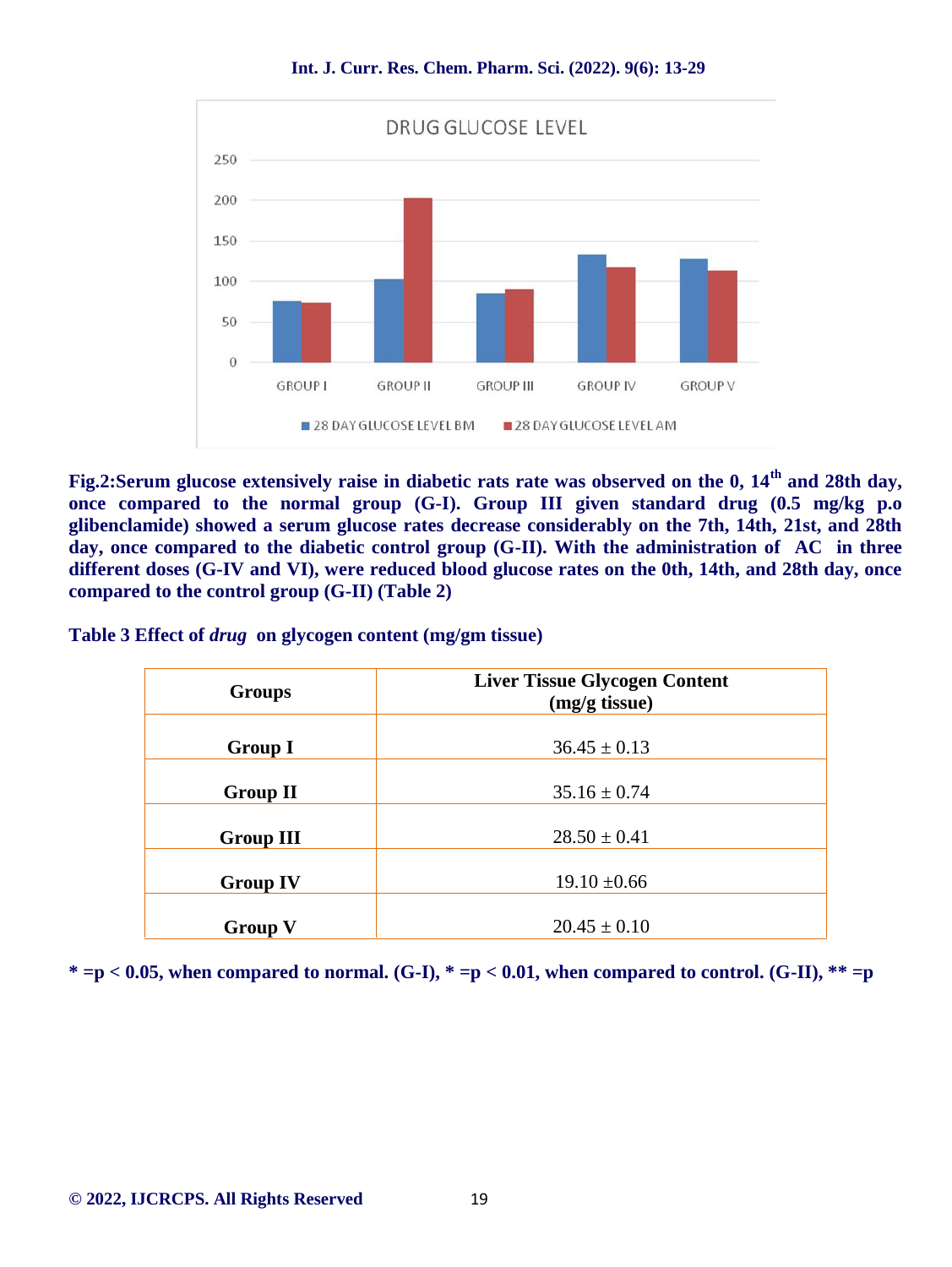

**Fig.2:Serum glucose extensively raise in diabetic rats rate was observed on the 0, 14th and 28th day, once compared to the normal group (G-I). Group III given standard drug (0.5 mg/kg p.o glibenclamide) showed a serum glucose rates decrease considerably on the 7th, 14th, 21st, and 28th day, once compared to the diabetic control group (G-II). With the administration of AC in three different doses (G-IV and VI), were reduced blood glucose rates on the 0th, 14th, and 28th day, once compared to the control group (G-II) (Table 2)**

**Table 3 Effect of** *drug* **on glycogen content (mg/gm tissue)**

| <b>Groups</b>    | <b>Liver Tissue Glycogen Content</b><br>(mg/g tissue) |
|------------------|-------------------------------------------------------|
| <b>Group I</b>   | $36.45 \pm 0.13$                                      |
| <b>Group II</b>  | $35.16 \pm 0.74$                                      |
| <b>Group III</b> | $28.50 \pm 0.41$                                      |
| <b>Group IV</b>  | $19.10 \pm 0.66$                                      |
| <b>Group V</b>   | $20.45 \pm 0.10$                                      |

\* $=p < 0.05$ , when compared to normal. (G-I), \* $=p < 0.01$ , when compared to control. (G-II), \*\* $=p$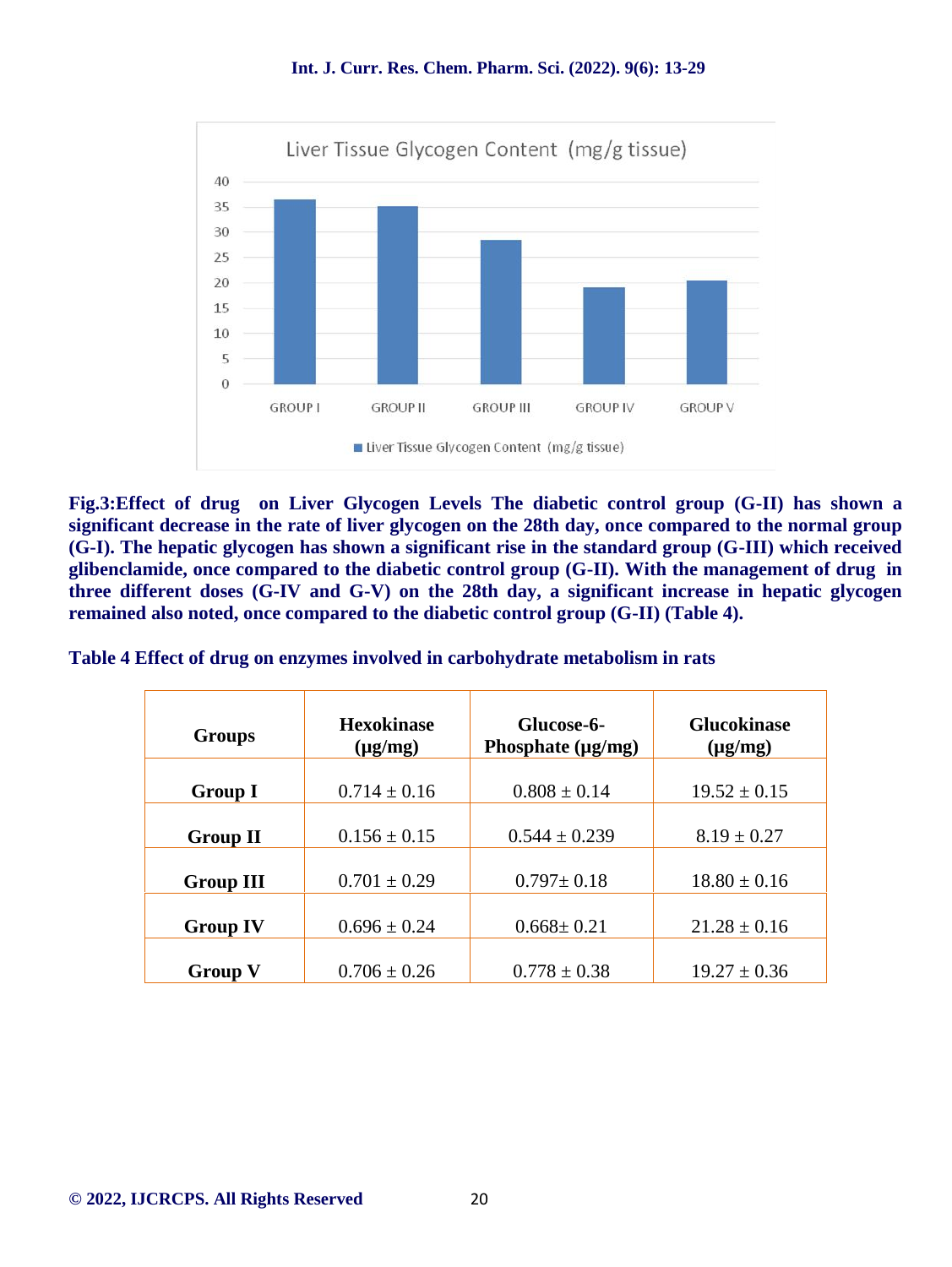**Int. J. Curr. Res. Chem. Pharm. Sci. (2022). 9(6): 13-29**



**Fig.3:Effect of drug on Liver Glycogen Levels The diabetic control group (G-II) has shown a significant decrease in the rate of liver glycogen on the 28th day, once compared to the normal group (G-I). The hepatic glycogen has shown a significant rise in the standard group (G-III) which received glibenclamide, once compared to the diabetic control group (G-II). With the management of drug in three different doses (G-IV and G-V) on the 28th day, a significant increase in hepatic glycogen remained also noted, once compared to the diabetic control group (G-II) (Table 4).**

**Table 4 Effect of drug on enzymes involved in carbohydrate metabolism in rats**

| <b>Groups</b>    | <b>Hexokinase</b><br>$(\mu g/mg)$ | Glucose-6-<br>Phosphate $(\mu g/mg)$ | <b>Glucokinase</b><br>$(\mu g/mg)$ |
|------------------|-----------------------------------|--------------------------------------|------------------------------------|
| <b>Group I</b>   | $0.714 \pm 0.16$                  | $0.808 \pm 0.14$                     | $19.52 \pm 0.15$                   |
| <b>Group II</b>  | $0.156 \pm 0.15$                  | $0.544 \pm 0.239$                    | $8.19 \pm 0.27$                    |
| <b>Group III</b> | $0.701 \pm 0.29$                  | $0.797 \pm 0.18$                     | $18.80 \pm 0.16$                   |
| <b>Group IV</b>  | $0.696 \pm 0.24$                  | $0.668 \pm 0.21$                     | $21.28 \pm 0.16$                   |
|                  |                                   |                                      |                                    |
| <b>Group V</b>   | $0.706 \pm 0.26$                  | $0.778 \pm 0.38$                     | $19.27 \pm 0.36$                   |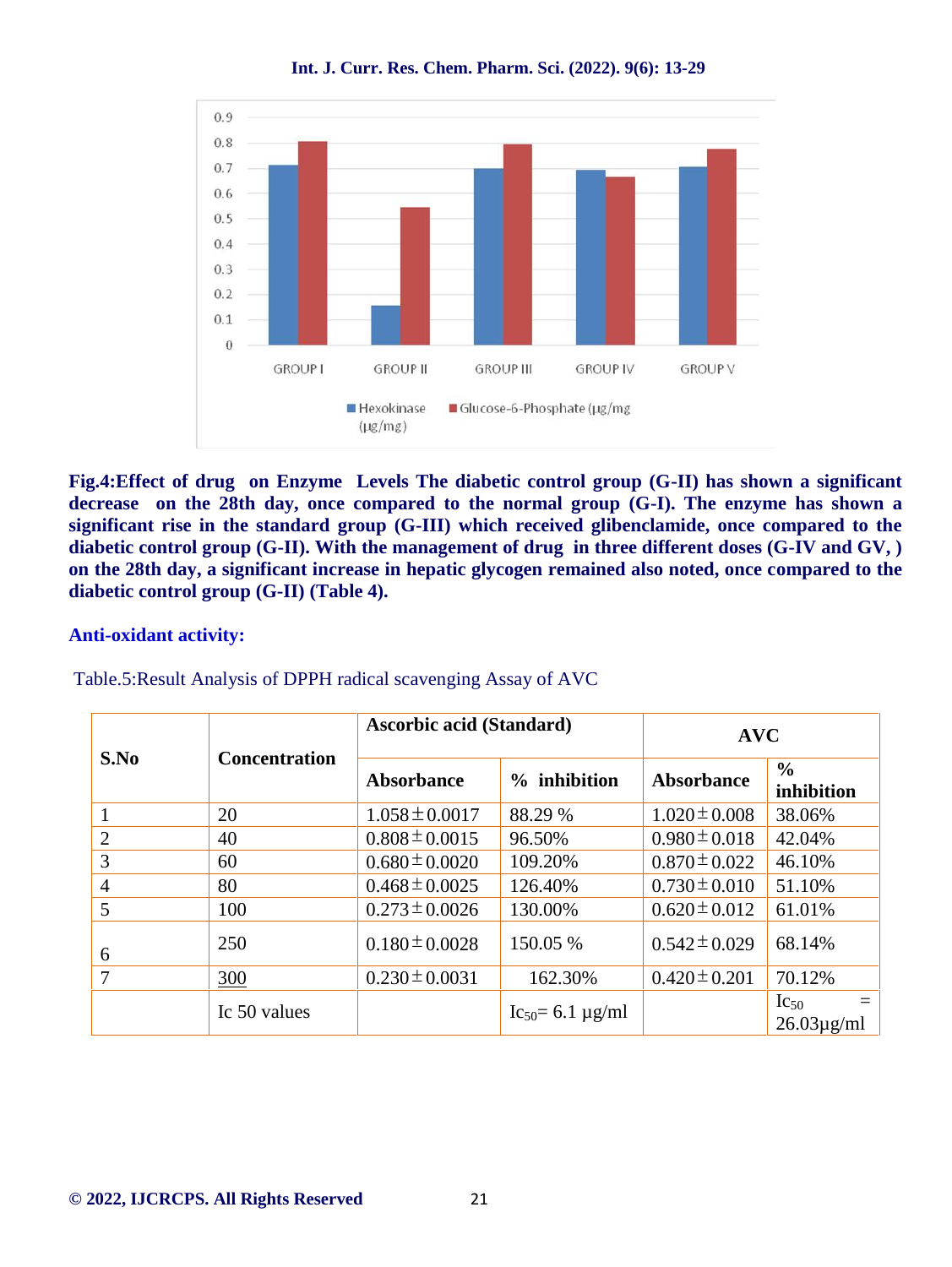

**Fig.4:Effect of drug on Enzyme Levels The diabetic control group (G-II) has shown a significant decrease on the 28th day, once compared to the normal group (G-I). The enzyme has shown a significant rise in the standard group (G-III) which received glibenclamide, once compared to the diabetic control group (G-II). With the management of drug in three different doses (G-IV and GV, ) on the 28th day, a significant increase in hepatic glycogen remained also noted, once compared to the diabetic control group (G-II) (Table 4).**

#### **Anti-oxidant activity:**

|      |                      |                    | <b>Ascorbic acid (Standard)</b> |                   | <b>AVC</b>                                  |  |  |
|------|----------------------|--------------------|---------------------------------|-------------------|---------------------------------------------|--|--|
| S.No | <b>Concentration</b> | Absorbance         | % inhibition                    | Absorbance        | $\frac{6}{6}$<br>inhibition                 |  |  |
|      | 20                   | $1.058 \pm 0.0017$ | 88.29 %                         | $1.020 \pm 0.008$ | 38.06%                                      |  |  |
| 2    | 40                   | $0.808 \pm 0.0015$ | 96.50%                          | $0.980 \pm 0.018$ | 42.04%                                      |  |  |
| 3    | 60                   | $0.680 \pm 0.0020$ | 109.20%                         | $0.870 \pm 0.022$ | 46.10%                                      |  |  |
| 4    | 80                   | $0.468 \pm 0.0025$ | 126.40%                         | $0.730 \pm 0.010$ | 51.10%                                      |  |  |
| 5    | 100                  | $0.273 \pm 0.0026$ | 130.00%                         | $0.620 \pm 0.012$ | 61.01%                                      |  |  |
| 6    | 250                  | $0.180 \pm 0.0028$ | 150.05 %                        | $0.542 \pm 0.029$ | 68.14%                                      |  |  |
| 7    | 300                  | $0.230 \pm 0.0031$ | 162.30%                         | $0.420 \pm 0.201$ | 70.12%                                      |  |  |
|      | Ic 50 values         |                    | $Ic_{50} = 6.1 \,\mu g/ml$      |                   | $\mathrm{Ic}_{50}$<br>$26.03\mu\text{g/ml}$ |  |  |

Table.5:Result Analysis of DPPH radical scavenging Assay of AVC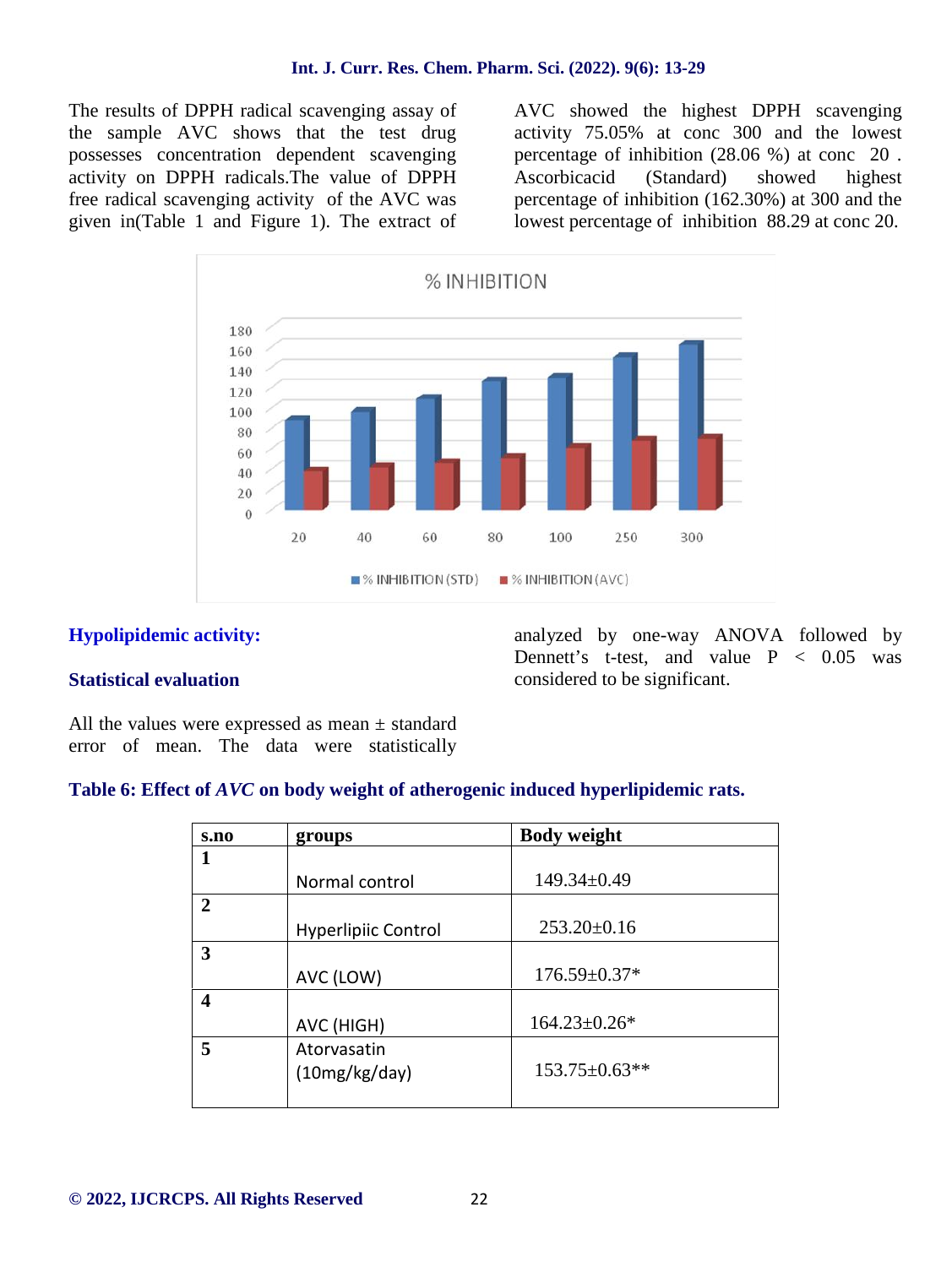The results of DPPH radical scavenging assay of the sample AVC shows that the test drug possesses concentration dependent scavenging activity on DPPH radicals.The value of DPPH free radical scavenging activity of the AVC was given in(Table 1 and Figure 1). The extract of

AVC showed the highest DPPH scavenging activity 75.05% at conc 300 and the lowest percentage of inhibition (28.06 %) at conc 20 . Ascorbicacid (Standard) showed highest percentage of inhibition (162.30%) at 300 and the lowest percentage of inhibition 88.29 at conc 20.



#### **Hypolipidemic activity:**

#### **Statistical evaluation**

analyzed by one-way ANOVA followed by Dennett's t-test, and value  $P < 0.05$  was considered to be significant.

All the values were expressed as mean  $\pm$  standard error of mean. The data were statistically

#### **Table 6: Effect of** *AVC* **on body weight of atherogenic induced hyperlipidemic rats.**

| s.no         | groups                     | <b>Body weight</b>  |
|--------------|----------------------------|---------------------|
|              |                            |                     |
|              | Normal control             | $149.34 \pm 0.49$   |
| $\mathbf{2}$ |                            |                     |
|              | <b>Hyperlipiic Control</b> | $253.20 \pm 0.16$   |
| 3            |                            |                     |
|              | AVC (LOW)                  | $176.59 \pm 0.37*$  |
| 4            |                            |                     |
|              | AVC (HIGH)                 | $164.23 \pm 0.26*$  |
| 5            | Atorvasatin                |                     |
|              | (10mg/kg/day)              | $153.75 \pm 0.63**$ |
|              |                            |                     |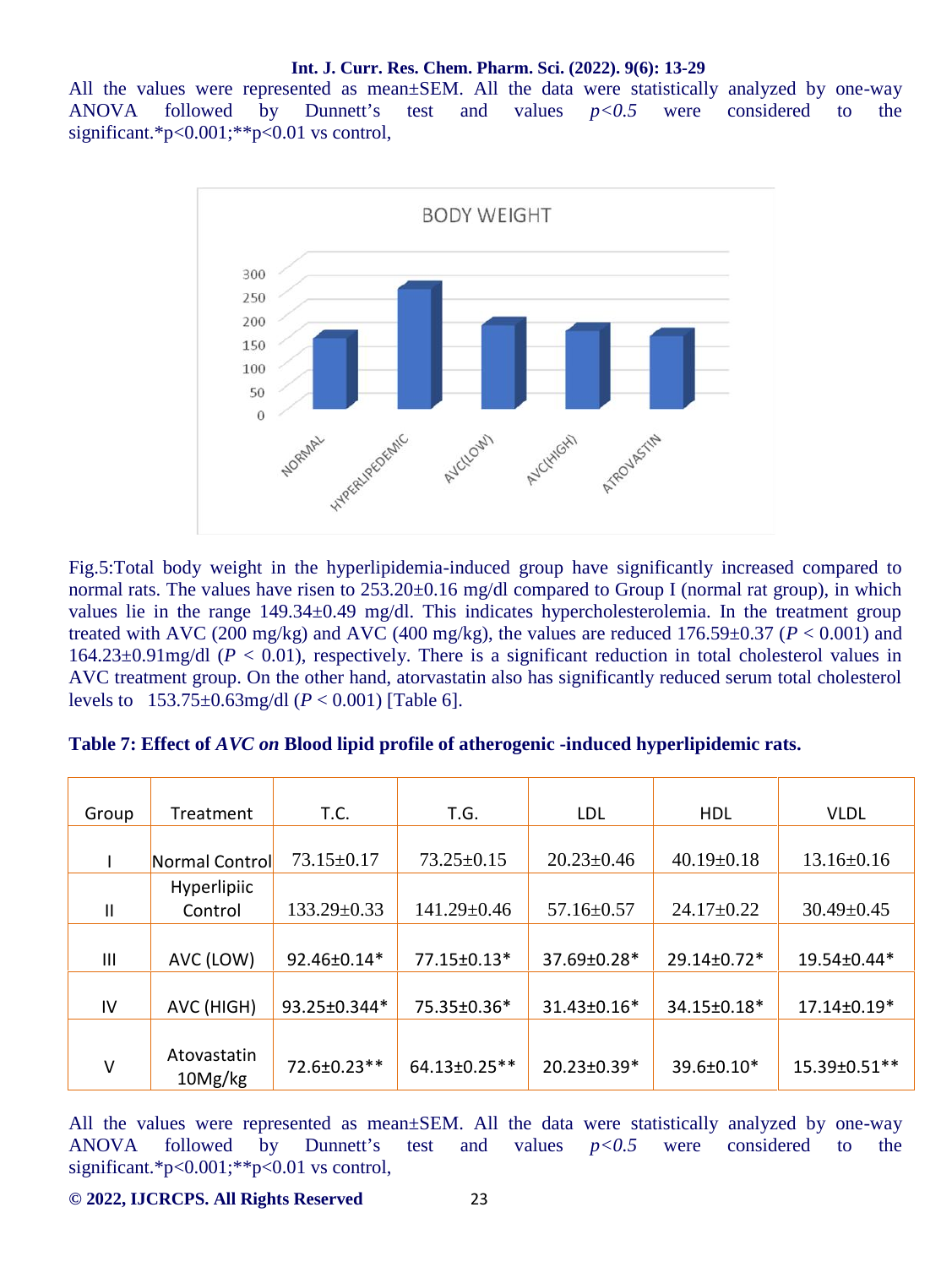All the values were represented as mean±SEM. All the data were statistically analyzed by one-way ANOVA followed by Dunnett's test and values *p<0.5* were considered to the significant.\*p<0.001;\*\*p<0.01 vs control,



Fig.5:Total body weight in the hyperlipidemia-induced group have significantly increased compared to normal rats. The values have risen to  $253.20 \pm 0.16$  mg/dl compared to Group I (normal rat group), in which values lie in the range 149.34±0.49 mg/dl. This indicates hypercholesterolemia. In the treatment group treated with AVC (200 mg/kg) and AVC (400 mg/kg), the values are reduced  $176.59\pm0.37$  ( $P < 0.001$ ) and 164.23±0.91mg/dl (*P* < 0.01), respectively. There is a significant reduction in total cholesterol values in AVC treatment group. On the other hand, atorvastatin also has significantly reduced serum total cholesterol levels to 153.75±0.63mg/dl (*P* < 0.001) [Table 6].

| Table 7: Effect of AVC on Blood lipid profile of atherogenic -induced hyperlipidemic rats. |  |  |
|--------------------------------------------------------------------------------------------|--|--|
|                                                                                            |  |  |

|               |                        | T.C.             | T.G.              | LDL              | <b>HDL</b>       | <b>VLDL</b>      |
|---------------|------------------------|------------------|-------------------|------------------|------------------|------------------|
| Group         | Treatment              |                  |                   |                  |                  |                  |
|               | Normal Control         | $73.15 \pm 0.17$ | $73.25 \pm 0.15$  | $20.23 \pm 0.46$ | $40.19 \pm 0.18$ | $13.16 \pm 0.16$ |
|               | Hyperlipiic            |                  |                   |                  |                  |                  |
| $\mathbf{II}$ | Control                | 133.29±0.33      | $141.29 \pm 0.46$ | $57.16 \pm 0.57$ | $24.17 \pm 0.22$ | $30.49 \pm 0.45$ |
|               |                        |                  |                   |                  |                  |                  |
| III           | AVC (LOW)              | 92.46±0.14*      | 77.15±0.13*       | 37.69±0.28*      | 29.14±0.72*      | 19.54±0.44*      |
|               |                        |                  |                   |                  |                  |                  |
| IV            | AVC (HIGH)             | 93.25±0.344*     | 75.35±0.36*       | 31.43±0.16*      | 34.15±0.18*      | 17.14±0.19*      |
|               |                        |                  |                   |                  |                  |                  |
| $\vee$        | Atovastatin<br>10Mg/kg | 72.6±0.23**      | 64.13±0.25**      | 20.23±0.39*      | 39.6±0.10*       | 15.39±0.51**     |

All the values were represented as mean±SEM. All the data were statistically analyzed by one-way ANOVA followed by Dunnett's test and values *p<0.5* were considered to the significant.\*p<0.001;\*\*p<0.01 vs control,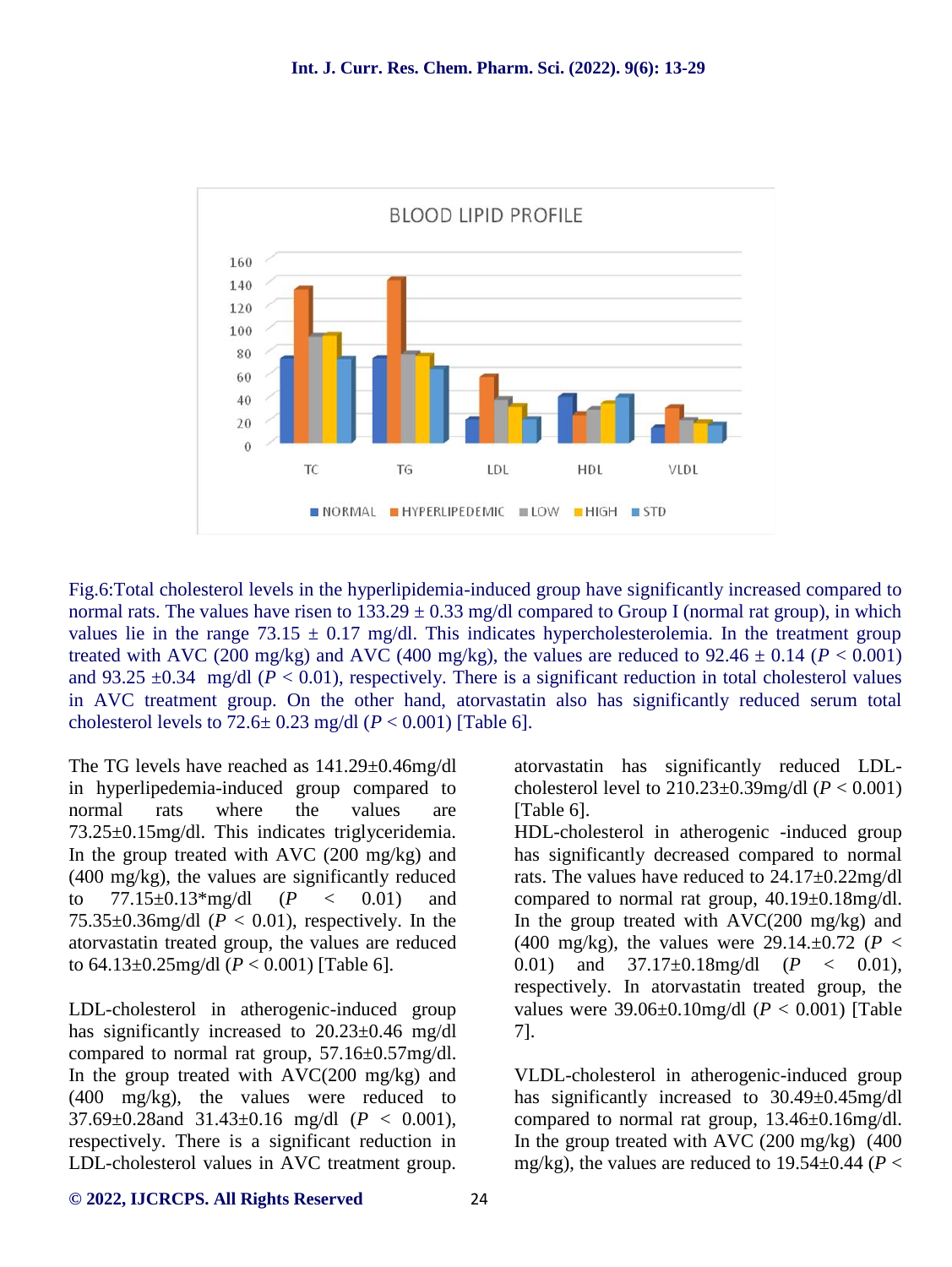

Fig.6:Total cholesterol levels in the hyperlipidemia-induced group have significantly increased compared to normal rats. The values have risen to  $133.29 \pm 0.33$  mg/dl compared to Group I (normal rat group), in which values lie in the range  $73.15 \pm 0.17$  mg/dl. This indicates hypercholesterolemia. In the treatment group treated with AVC (200 mg/kg) and AVC (400 mg/kg), the values are reduced to  $92.46 \pm 0.14$  ( $P < 0.001$ ) and 93.25  $\pm$ 0.34 mg/dl ( $P < 0.01$ ), respectively. There is a significant reduction in total cholesterol values in AVC treatment group. On the other hand, atorvastatin also has significantly reduced serum total cholesterol levels to  $72.6 \pm 0.23$  mg/dl  $(P < 0.001)$  [Table 6].

The TG levels have reached as 141.29±0.46mg/dl in hyperlipedemia-induced group compared to normal rats where the values are 73.25±0.15mg/dl. This indicates triglyceridemia. In the group treated with AVC (200 mg/kg) and (400 mg/kg), the values are significantly reduced to 77.15±0.13\*mg/dl (*P* < 0.01) and 75.35 $\pm$ 0.36mg/dl ( $P < 0.01$ ), respectively. In the atorvastatin treated group, the values are reduced to 64.13±0.25mg/dl (*P* < 0.001) [Table 6].

LDL-cholesterol in atherogenic-induced group has significantly increased to 20.23±0.46 mg/dl compared to normal rat group, 57.16±0.57mg/dl. In the group treated with  $AVC(200 \text{ mg/kg})$  and (400 mg/kg), the values were reduced to 37.69±0.28and 31.43±0.16 mg/dl (*P* < 0.001), respectively. There is a significant reduction in LDL-cholesterol values in AVC treatment group. atorvastatin has significantly reduced LDL cholesterol level to  $210.23 \pm 0.39$  mg/dl ( $P < 0.001$ ) [Table 6].

HDL-cholesterol in atherogenic -induced group has significantly decreased compared to normal rats. The values have reduced to 24.17±0.22mg/dl compared to normal rat group, 40.19±0.18mg/dl. In the group treated with AVC(200 mg/kg) and (400 mg/kg), the values were 29.14. $\pm$ 0.72 (*P* < 0.01) and 37.17±0.18mg/dl (*P* < 0.01), respectively. In atorvastatin treated group, the values were 39.06±0.10mg/dl (*P* < 0.001) [Table 7].

VLDL-cholesterol in atherogenic-induced group has significantly increased to 30.49±0.45mg/dl compared to normal rat group, 13.46±0.16mg/dl. In the group treated with AVC (200 mg/kg) (400 mg/kg), the values are reduced to  $19.54 \pm 0.44$  ( $P <$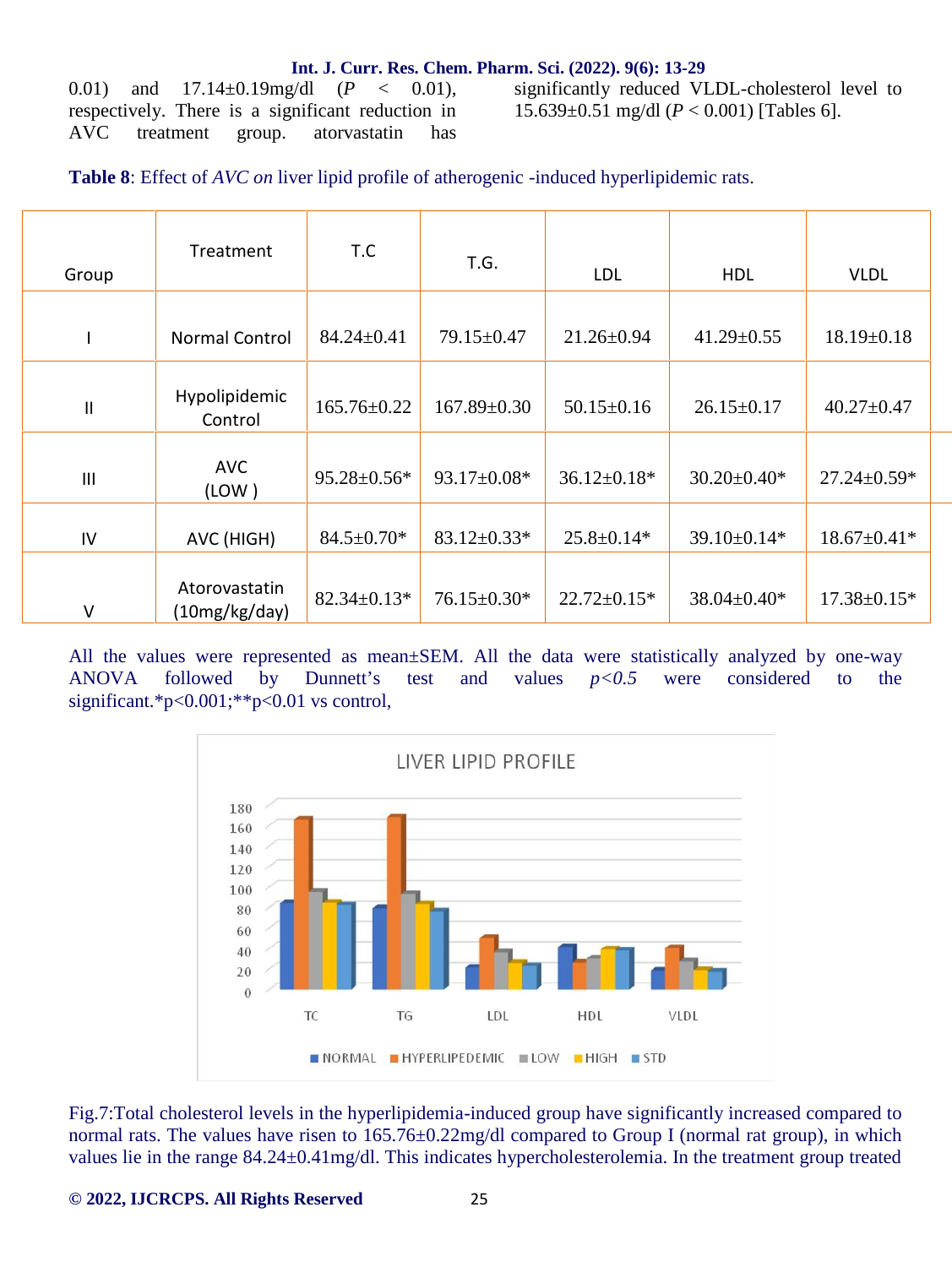0.01) and 17.14±0.19mg/dl (*P* < 0.01), respectively. There is a significant reduction in AVC treatment group. atorvastatin has

significantly reduced VLDL-cholesterol level to 15.639±0.51 mg/dl (*P* < 0.001) [Tables 6].

**Table 8**: Effect of *AVC on* liver lipid profile of atherogenic -induced hyperlipidemic rats.

| Group                      | Treatment                      | T.C               | T.G.              | <b>LDL</b>        | <b>HDL</b>        | <b>VLDL</b>       |  |
|----------------------------|--------------------------------|-------------------|-------------------|-------------------|-------------------|-------------------|--|
|                            | <b>Normal Control</b>          | $84.24 \pm 0.41$  | 79.15±0.47        | $21.26 \pm 0.94$  | $41.29 \pm 0.55$  | $18.19 \pm 0.18$  |  |
| $\ensuremath{\mathsf{II}}$ | Hypolipidemic<br>Control       | 165.76±0.22       | $167.89 \pm 0.30$ | $50.15 \pm 0.16$  | $26.15 \pm 0.17$  | $40.27 \pm 0.47$  |  |
| $\mathbf{III}$             | <b>AVC</b><br>(LOW)            | $95.28 \pm 0.56*$ | $93.17 \pm 0.08*$ | $36.12 \pm 0.18*$ | $30.20 \pm 0.40*$ | $27.24 \pm 0.59*$ |  |
| IV                         | AVC (HIGH)                     | $84.5 \pm 0.70*$  | $83.12 \pm 0.33*$ | $25.8 \pm 0.14*$  | 39.10±0.14*       | $18.67 \pm 0.41*$ |  |
| $\vee$                     | Atorovastatin<br>(10mg/kg/day) | $82.34 \pm 0.13*$ | $76.15 \pm 0.30*$ | $22.72 \pm 0.15*$ | $38.04 \pm 0.40*$ | $17.38 \pm 0.15*$ |  |

All the values were represented as mean±SEM. All the data were statistically analyzed by one-way ANOVA followed by Dunnett's test and values *p<0.5* were considered to the significant.\*p<0.001;\*\*p<0.01 vs control,



Fig.7:Total cholesterol levels in the hyperlipidemia-induced group have significantly increased compared to normal rats. The values have risen to  $165.76 \pm 0.22$  mg/dl compared to Group I (normal rat group), in which values lie in the range 84.24±0.41mg/dl. This indicates hypercholesterolemia. In the treatment group treated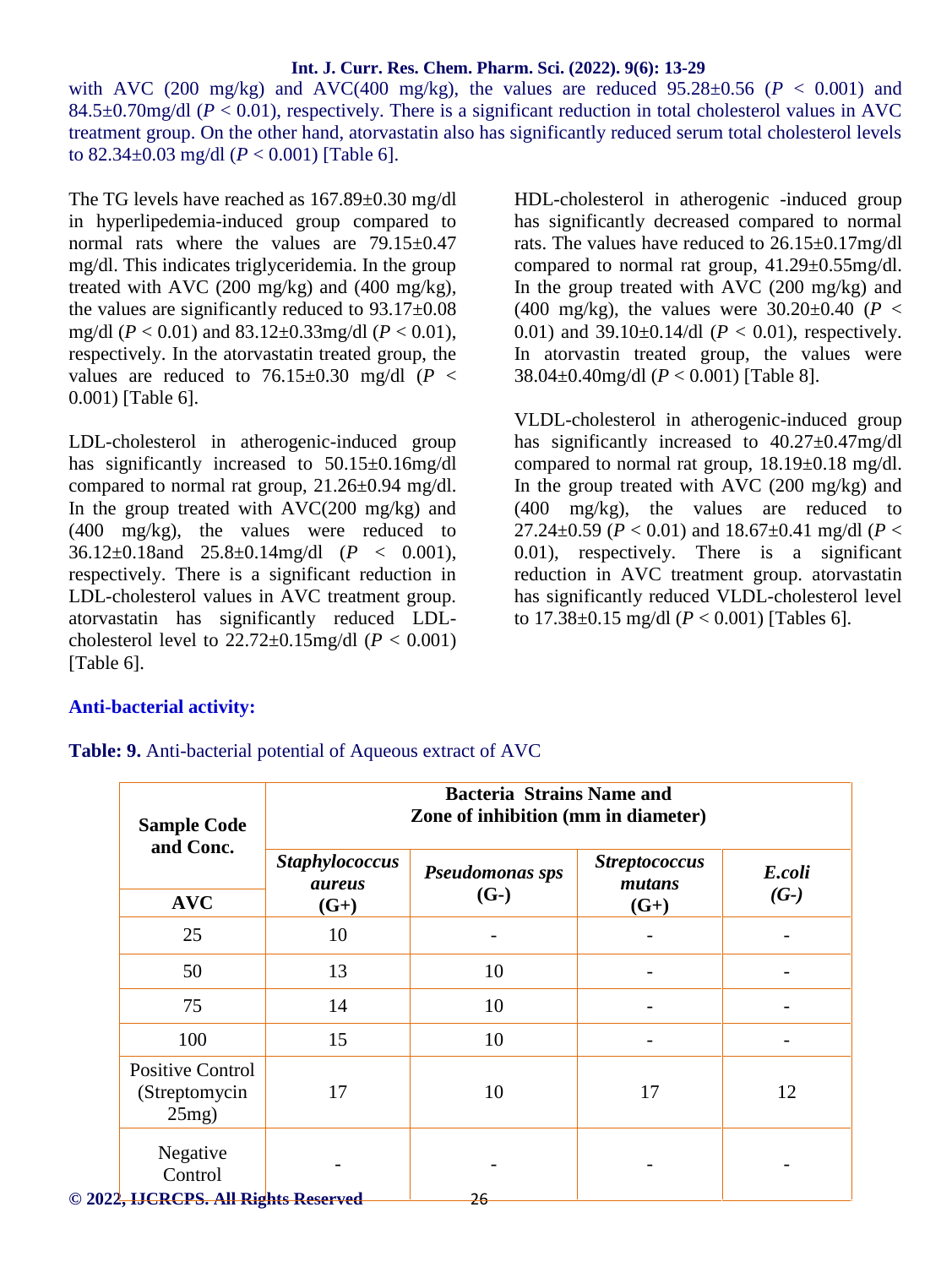with AVC (200 mg/kg) and AVC(400 mg/kg), the values are reduced  $95.28 \pm 0.56$  ( $P < 0.001$ ) and 84.5 $\pm$ 0.70mg/dl ( $P < 0.01$ ), respectively. There is a significant reduction in total cholesterol values in AVC treatment group. On the other hand, atorvastatin also has significantly reduced serum total cholesterol levels to 82.34±0.03 mg/dl (*P* < 0.001) [Table 6].

The TG levels have reached as 167.89±0.30 mg/dl in hyperlipedemia-induced group compared to normal rats where the values are 79.15±0.47 mg/dl. This indicates triglyceridemia. In the group treated with AVC (200 mg/kg) and (400 mg/kg), the values are significantly reduced to 93.17±0.08 mg/dl (*P* < 0.01) and 83.12±0.33mg/dl (*P* < 0.01), respectively. In the atorvastatin treated group, the values are reduced to  $76.15\pm0.30$  mg/dl ( $P <$ 0.001) [Table 6].

LDL-cholesterol in atherogenic-induced group has significantly increased to 50.15±0.16mg/dl compared to normal rat group, 21.26±0.94 mg/dl. In the group treated with  $AVC(200 mg/kg)$  and (400 mg/kg), the values were reduced to 36.12±0.18and 25.8±0.14mg/dl (*P* < 0.001), respectively. There is a significant reduction in LDL-cholesterol values in AVC treatment group. atorvastatin has significantly reduced LDL cholesterol level to  $22.72 \pm 0.15$ mg/dl ( $P < 0.001$ ) [Table 6].

HDL-cholesterol in atherogenic -induced group has significantly decreased compared to normal rats. The values have reduced to 26.15±0.17mg/dl compared to normal rat group, 41.29±0.55mg/dl. In the group treated with AVC (200 mg/kg) and (400 mg/kg), the values were  $30.20 \pm 0.40$  ( $P <$ 0.01) and  $39.10 \pm 0.14$ /dl ( $P < 0.01$ ), respectively. In atorvastin treated group, the values were 38.04±0.40mg/dl (*P* < 0.001) [Table 8].

VLDL-cholesterol in atherogenic-induced group has significantly increased to  $40.27 \pm 0.47$  mg/dl compared to normal rat group,  $18.19 \pm 0.18$  mg/dl. In the group treated with AVC (200 mg/kg) and (400 mg/kg), the values are reduced to 27.24 $\pm$ 0.59 (*P* < 0.01) and 18.67 $\pm$ 0.41 mg/dl (*P* < 0.01), respectively. There is a significant reduction in AVC treatment group. atorvastatin has significantly reduced VLDL-cholesterol level to 17.38±0.15 mg/dl (*P* < 0.001) [Tables 6].

## **Anti-bacterial activity:**

**Table: 9.** Anti-bacterial potential of Aqueous extract of AVC

| <b>Sample Code</b>                                   |                                        | <b>Bacteria Strains Name and</b><br>Zone of inhibition (mm in diameter) |                                |                  |
|------------------------------------------------------|----------------------------------------|-------------------------------------------------------------------------|--------------------------------|------------------|
| and Conc.<br><b>AVC</b>                              | <b>Staphylococcus</b><br><i>aureus</i> | Pseudomonas sps<br>$(G-)$                                               | <b>Streptococcus</b><br>mutans | E.coli<br>$(G-)$ |
|                                                      | $(G+)$                                 |                                                                         | $(G+)$                         |                  |
| 25                                                   | 10                                     |                                                                         |                                |                  |
| 50                                                   | 13                                     | 10                                                                      |                                |                  |
| 75                                                   | 14                                     | 10                                                                      |                                |                  |
| 100                                                  | 15                                     | 10                                                                      |                                |                  |
| <b>Positive Control</b><br>(Streptomycin<br>$25mg$ ) | 17                                     | 10                                                                      | 17                             | 12               |
| Negative<br>Control                                  |                                        |                                                                         |                                |                  |
| © 2022, HCRCPS. All Rights Reserved                  |                                        | 26                                                                      |                                |                  |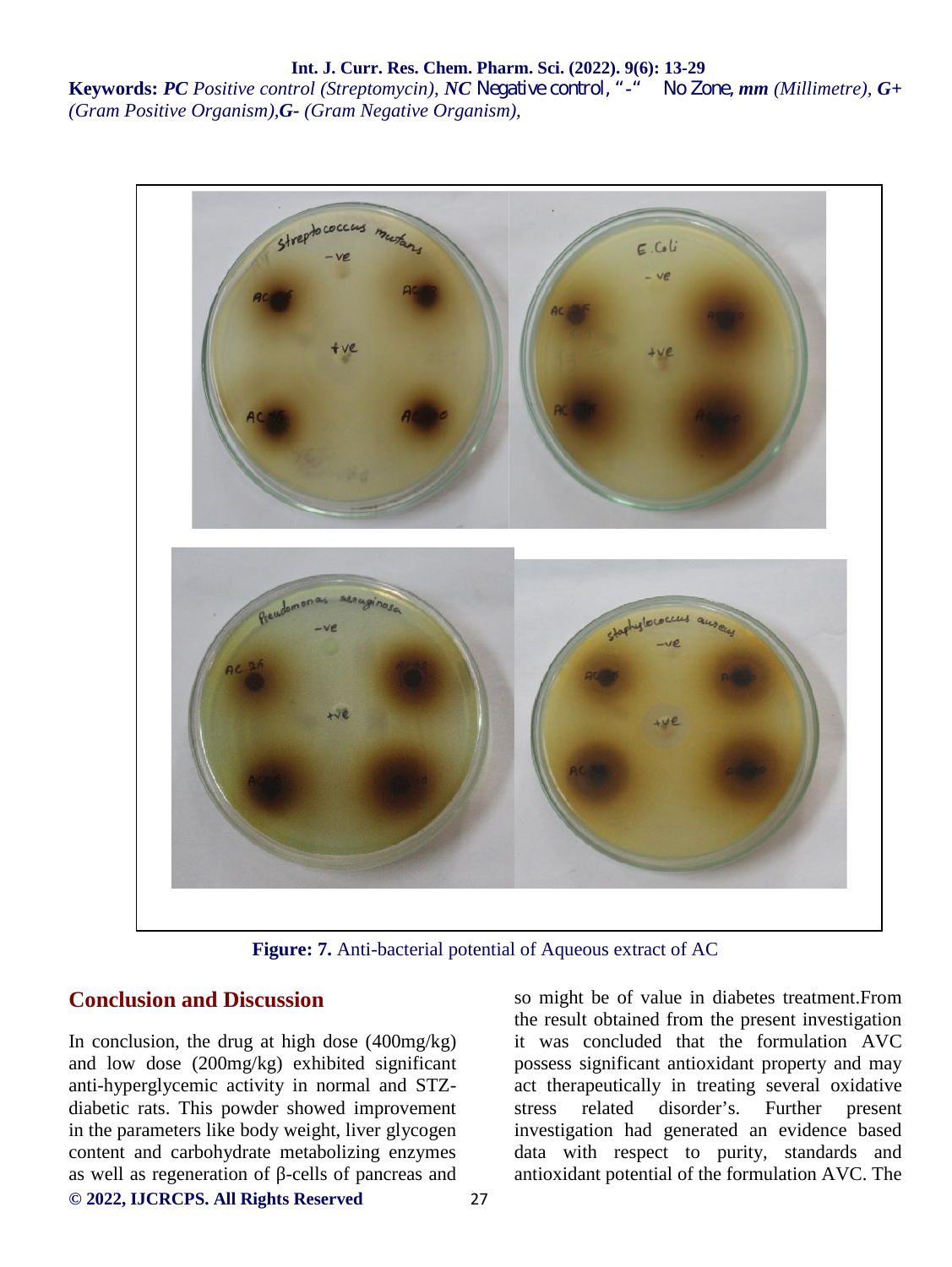**Keywords:** *PC Positive control (Streptomycin), NC Negative control, "-" No Zone, mm (Millimetre), G+ (Gram Positive Organism),G- (Gram Negative Organism),*



**Figure: 7.** Anti-bacterial potential of Aqueous extract of AC

#### **Conclusion and Discussion**

**© 2022, IJCRCPS. All Rights Reserved** 27 In conclusion, the drug at high dose  $(400mg/kg)$ and low dose (200mg/kg) exhibited significant anti-hyperglycemic activity in normal and STZ diabetic rats. This powder showed improvement in the parameters like body weight, liver glycogen content and carbohydrate metabolizing enzymes as well as regeneration of -cells of pancreas and

so might be of value in diabetes treatment.From the result obtained from the present investigation it was concluded that the formulation AVC possess significant antioxidant property and may act therapeutically in treating several oxidative stress related disorder's. Further present investigation had generated an evidence based data with respect to purity, standards and antioxidant potential of the formulation AVC. The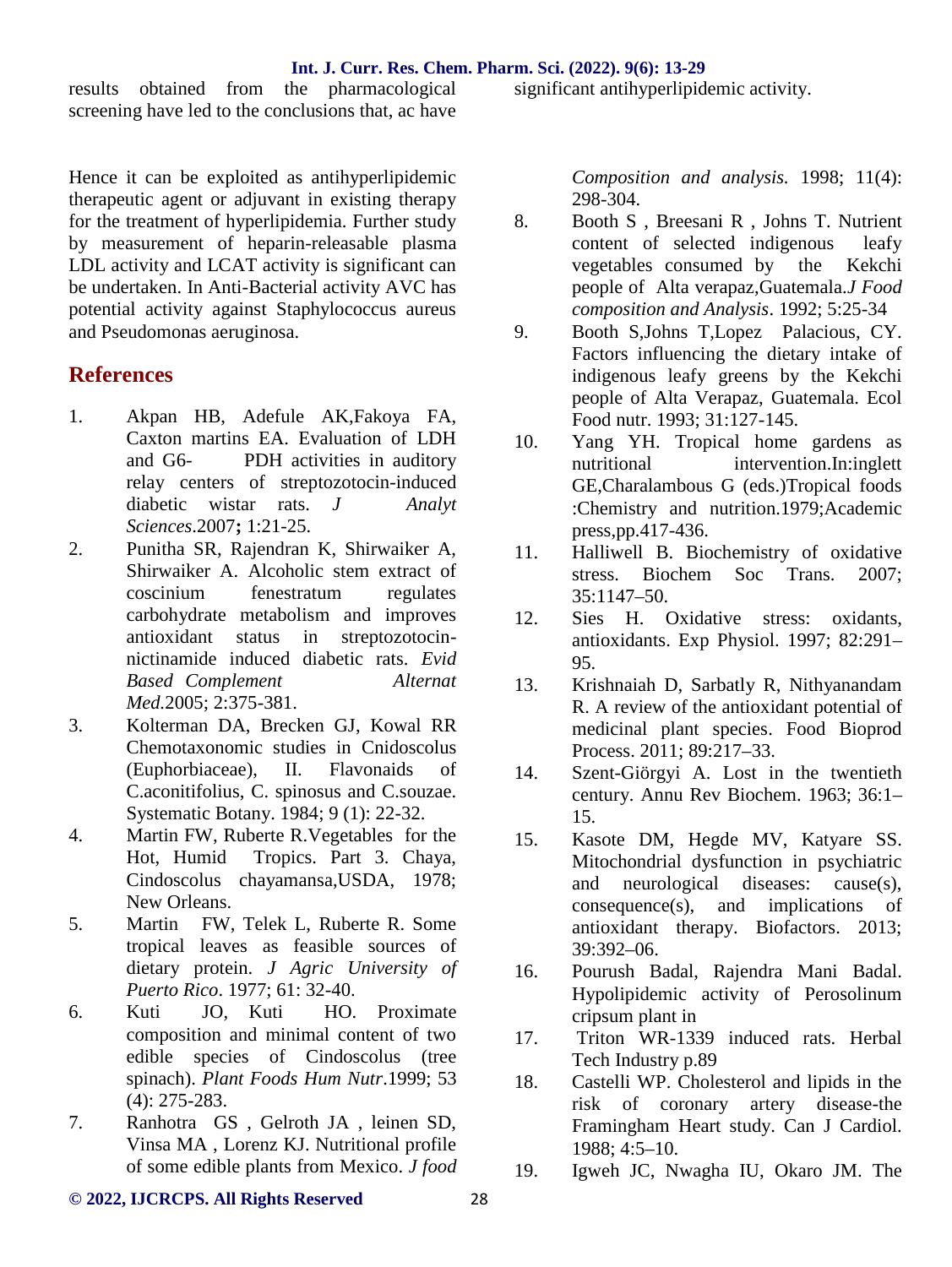results obtained from the pharmacological screening have led to the conclusions that, ac have

Hence it can be exploited as antihyperlipidemic therapeutic agent or adjuvant in existing therapy for the treatment of hyperlipidemia. Further study by measurement of heparin-releasable plasma LDL activity and LCAT activity is significant can be undertaken. In Anti-Bacterial activity AVC has potential activity against Staphylococcus aureus and Pseudomonas aeruginosa.

## **References**

- 1. Akpan HB, Adefule AK,Fakoya FA, Caxton martins EA. Evaluation of LDH and G6- PDH activities in auditory relay centers of streptozotocin-induced diabetic wistar rats. *J Analyt Sciences*.2007**;** 1:21-25.
- 2. Punitha SR, Rajendran K, Shirwaiker A, Shirwaiker A. Alcoholic stem extract of coscinium fenestratum regulates carbohydrate metabolism and improves antioxidant status in streptozotocin nictinamide induced diabetic rats. *Evid Based Complement Alternat Med.*2005; 2:375-381.
- 3. Kolterman DA, Brecken GJ, Kowal RR Chemotaxonomic studies in Cnidoscolus (Euphorbiaceae), II. Flavonaids of C.aconitifolius, C. spinosus and C.souzae. Systematic Botany. 1984; 9 (1): 22-32.
- 4. Martin FW, Ruberte R.Vegetables for the Hot, Humid Tropics. Part 3. Chaya, Cindoscolus chayamansa,USDA, 1978; New Orleans.
- 5. Martin FW, Telek L, Ruberte R. Some tropical leaves as feasible sources of dietary protein. *J Agric University of Puerto Rico*. 1977; 61: 32-40.
- 6. Kuti JO, Kuti HO. Proximate composition and minimal content of two edible species of Cindoscolus (tree spinach). *Plant Foods Hum Nutr*.1999; 53 (4): 275-283.
- 7. Ranhotra GS , Gelroth JA , leinen SD, Vinsa MA , Lorenz KJ. Nutritional profile of some edible plants from Mexico. *J food*

significant antihyperlipidemic activity.

*Composition and analysis.* 1998; 11(4): 298-304.

- 8. Booth S , Breesani R , Johns T. Nutrient content of selected indigenous leafy vegetables consumed by the Kekchi people of Alta verapaz,Guatemala.*J Food composition and Analysis*. 1992; 5:25-34
- 9. Booth S,Johns T,Lopez Palacious, CY. Factors influencing the dietary intake of indigenous leafy greens by the Kekchi people of Alta Verapaz, Guatemala. Ecol Food nutr. 1993; 31:127-145.
- Yang YH. Tropical home gardens as nutritional intervention.In:inglett GE,Charalambous G (eds.)Tropical foods :Chemistry and nutrition.1979;Academic press,pp.417-436.
- 11. Halliwell B. Biochemistry of oxidative stress. Biochem Soc Trans. 2007; 35:1147–50.
- 12. Sies H. Oxidative stress: oxidants, antioxidants. Exp Physiol. 1997; 82:291– 95.
- 13. Krishnaiah D, Sarbatly R, Nithyanandam R. A review of the antioxidant potential of medicinal plant species. Food Bioprod Process. 2011; 89:217–33.
- 14. Szent-Giörgyi A. Lost in the twentieth century. Annu Rev Biochem. 1963; 36:1– 15.
- Kasote DM, Hegde MV, Katyare SS. Mitochondrial dysfunction in psychiatric and neurological diseases: cause(s), consequence(s), and implications of antioxidant therapy. Biofactors. 2013; 39:392–06.
- 16. Pourush Badal, Rajendra Mani Badal. Hypolipidemic activity of Perosolinum cripsum plant in
- Triton WR-1339 induced rats. Herbal Tech Industry p.89
- Castelli WP. Cholesterol and lipids in the risk of coronary artery disease-the Framingham Heart study. Can J Cardiol. 1988; 4:5–10.
- 19. Igweh JC, Nwagha IU, Okaro JM. The